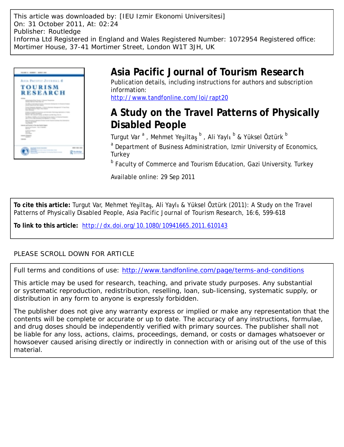This article was downloaded by: [IEU Izmir Ekonomi Universitesi] On: 31 October 2011, At: 02:24 Publisher: Routledge Informa Ltd Registered in England and Wales Registered Number: 1072954 Registered office: Mortimer House, 37-41 Mortimer Street, London W1T 3JH, UK



# **Asia Pacific Journal of Tourism Research**

Publication details, including instructions for authors and subscription information:

<http://www.tandfonline.com/loi/rapt20>

# **A Study on the Travel Patterns of Physically Disabled People**

Turgut Var <sup>a</sup> , Mehmet Yeşiltaş <sup>b</sup> , Ali Yaylı <sup>b</sup> & Yüksel Öztürk <sup>b</sup> <sup>a</sup> Department of Business Administration, Izmir University of Economics, **Turkey** 

<sup>b</sup> Faculty of Commerce and Tourism Education, Gazi University, Turkey

Available online: 29 Sep 2011

**To cite this article:** Turgut Var, Mehmet Yeşiltaş, Ali Yaylı & Yüksel Öztürk (2011): A Study on the Travel Patterns of Physically Disabled People, Asia Pacific Journal of Tourism Research, 16:6, 599-618

**To link to this article:** <http://dx.doi.org/10.1080/10941665.2011.610143>

# PLEASE SCROLL DOWN FOR ARTICLE

Full terms and conditions of use:<http://www.tandfonline.com/page/terms-and-conditions>

This article may be used for research, teaching, and private study purposes. Any substantial or systematic reproduction, redistribution, reselling, loan, sub-licensing, systematic supply, or distribution in any form to anyone is expressly forbidden.

The publisher does not give any warranty express or implied or make any representation that the contents will be complete or accurate or up to date. The accuracy of any instructions, formulae, and drug doses should be independently verified with primary sources. The publisher shall not be liable for any loss, actions, claims, proceedings, demand, or costs or damages whatsoever or howsoever caused arising directly or indirectly in connection with or arising out of the use of this material.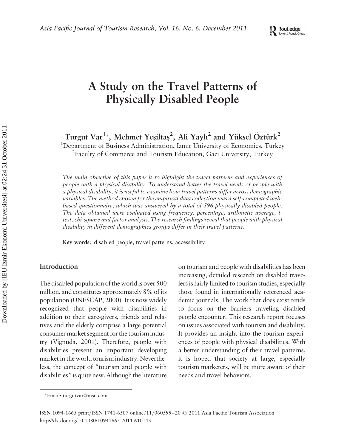# A Study on the Travel Patterns of Physically Disabled People

Turgut Var $^{1*}$ , Mehmet Yeşiltaş $^{2}$ , Ali Yaylı $^{2}$  and Yüksel Öztürk $^{2}$ 

<sup>1</sup>Department of Business Administration, Izmir University of Economics, Turkey <sup>2</sup>Faculty of Commerce and Tourism Education, Gazi University, Turkey

The main objective of this paper is to highlight the travel patterns and experiences of people with a physical disability. To understand better the travel needs of people with a physical disability, it is useful to examine how travel patterns differ across demographic variables. The method chosen for the empirical data collection was a self-completed webbased questionnaire, which was answered by a total of 596 physically disabled people. The data obtained were evaluated using frequency, percentage, arithmetic average, ttest, chi-square and factor analysis. The research findings reveal that people with physical disability in different demographics groups differ in their travel patterns.

Key words: disabled people, travel patterns, accessibility

#### Introduction

The disabled population of the world is over 500 million, and constitutes approximately 8% of its population (UNESCAP, 2000). It is now widely recognized that people with disabilities in addition to their care-givers, friends and relatives and the elderly comprise a large potential consumer market segment for the tourism industry (Vignuda, 2001). Therefore, people with disabilities present an important developing market in the world tourism industry. Nevertheless, the concept of "tourism and people with disabilities"is quite new.Although the literature on tourism and people with disabilities has been increasing, detailed research on disabled travelers is fairly limited to tourism studies, especially those found in internationally referenced academic journals. The work that does exist tends to focus on the barriers traveling disabled people encounter. This research report focuses on issues associated with tourism and disability. It provides an insight into the tourism experiences of people with physical disabilities. With a better understanding of their travel patterns, it is hoped that society at large, especially tourism marketers, will be more aware of their needs and travel behaviors.

<sup>∗</sup>Email: turgutvar@msn.com

ISSN 1094-1665 print/ISSN 1741-6507 online/11/060599-20 © 2011 Asia Pacific Tourism Association http://dx.doi.org/10.1080/10941665.2011.610143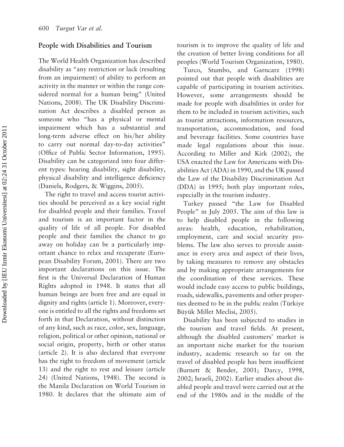#### People with Disabilities and Tourism

The World Health Organization has described disability as "any restriction or lack (resulting from an impairment) of ability to perform an activity in the manner or within the range considered normal for a human being" (United Nations, 2008). The UK Disability Discrimination Act describes a disabled person as someone who "has a physical or mental impairment which has a substantial and long-term adverse effect on his/her ability to carry out normal day-to-day activities" (Office of Public Sector Information, 1995). Disability can be categorized into four different types: hearing disability, sight disability, physical disability and intelligence deficiency (Daniels, Rodgers, & Wiggins, 2005).

The right to travel and access tourist activities should be perceived as a key social right for disabled people and their families. Travel and tourism is an important factor in the quality of life of all people. For disabled people and their families the chance to go away on holiday can be a particularly important chance to relax and recuperate (European Disability Forum, 2001). There are two important declarations on this issue. The first is the Universal Declaration of Human Rights adopted in 1948. It states that all human beings are born free and are equal in dignity and rights (article 1). Moreover, everyone is entitled to all the rights and freedoms set forth in that Declaration, without distinction of any kind, such as race, color, sex, language, religion, political or other opinion, national or social origin, property, birth or other status (article 2). It is also declared that everyone has the right to freedom of movement (article 13) and the right to rest and leisure (article 24) (United Nations, 1948). The second is the Manila Declaration on World Tourism in 1980. It declares that the ultimate aim of tourism is to improve the quality of life and the creation of better living conditions for all peoples (World Tourism Organization, 1980).

Turco, Stumbo, and Garncarz (1998) pointed out that people with disabilities are capable of participating in tourism activities. However, some arrangements should be made for people with disabilities in order for them to be included in tourism activities, such as tourist attractions, information resources, transportation, accommodation, and food and beverage facilities. Some countries have made legal regulations about this issue. According to Miller and Kirk (2002), the USA enacted the Law for Americans with Disabilities Act (ADA) in 1990, and the UK passed the Law of the Disability Discrimination Act (DDA) in 1995; both play important roles, especially in the tourism industry.

Turkey passed "the Law for Disabled People" in July 2005. The aim of this law is to help disabled people in the following areas: health, education, rehabilitation, employment, care and social security problems. The law also serves to provide assistance in every area and aspect of their lives, by taking measures to remove any obstacles and by making appropriate arrangements for the coordination of these services. These would include easy access to public buildings, roads, sidewalks, pavements and other properties deemed to be in the public realm (Türkiye Büyük Millet Meclisi, 2005).

Disability has been subjected to studies in the tourism and travel fields. At present, although the disabled customers' market is an important niche market for the tourism industry, academic research so far on the travel of disabled people has been insufficient (Burnett & Bender, 2001; Darcy, 1998, 2002; Israeli, 2002). Earlier studies about disabled people and travel were carried out at the end of the 1980s and in the middle of the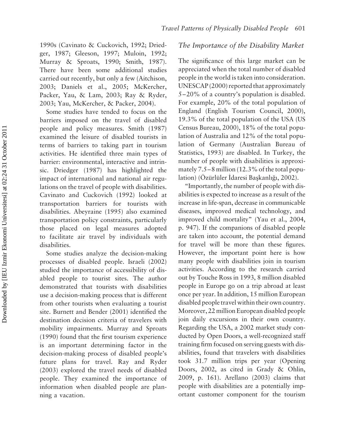1990s (Cavinato & Cuckovich, 1992; Driedger, 1987; Gleeson, 1997; Muloin, 1992; Murray & Sproats, 1990; Smith, 1987). There have been some additional studies carried out recently, but only a few (Aitchison, 2003; Daniels et al., 2005; McKercher, Packer, Yau, & Lam, 2003; Ray & Ryder, 2003; Yau, McKercher, & Packer, 2004).

Some studies have tended to focus on the barriers imposed on the travel of disabled people and policy measures. Smith (1987) examined the leisure of disabled tourists in terms of barriers to taking part in tourism activities. He identified three main types of barrier: environmental, interactive and intrinsic. Driedger (1987) has highlighted the impact of international and national air regulations on the travel of people with disabilities. Cavinato and Cuckovich (1992) looked at transportation barriers for tourists with disabilities. Abeyraine (1995) also examined transportation policy constraints, particularly those placed on legal measures adopted to facilitate air travel by individuals with disabilities.

Some studies analyze the decision-making processes of disabled people. Israeli (2002) studied the importance of accessibility of disabled people to tourist sites. The author demonstrated that tourists with disabilities use a decision-making process that is different from other tourists when evaluating a tourist site. Burnett and Bender (2001) identified the destination decision criteria of travelers with mobility impairments. Murray and Sproats (1990) found that the first tourism experience is an important determining factor in the decision-making process of disabled people's future plans for travel. Ray and Ryder (2003) explored the travel needs of disabled people. They examined the importance of information when disabled people are planning a vacation.

#### The Importance of the Disability Market

The significance of this large market can be appreciated when the total number of disabled people in the world is taken into consideration. UNESCAP (2000) reported that approximately 5–20% of a country's population is disabled. For example, 20% of the total population of England (English Tourism Council, 2000), 19.3% of the total population of the USA (US Census Bureau, 2000), 18% of the total population of Australia and 12% of the total population of Germany (Australian Bureau of Statistics, 1993) are disabled. In Turkey, the number of people with disabilities is approximately 7.5–8 million (12.3% of the total population) (Özürlüler İdaresi Başkanlığı, 2002).

"Importantly, the number of people with disabilities is expected to increase as a result of the increase in life-span, decrease in communicable diseases, improved medical technology, and improved child mortality" (Yau et al., 2004, p. 947). If the companions of disabled people are taken into account, the potential demand for travel will be more than these figures. However, the important point here is how many people with disabilities join in tourism activities. According to the research carried out by Touche Ross in 1993, 8 million disabled people in Europe go on a trip abroad at least once per year. In addition, 15 million European disabled people travel within their own country. Moreover,22 million European disabled people join daily excursions in their own country. Regarding the USA, a 2002 market study conducted by Open Doors, a well-recognized staff training firm focused on serving guests with disabilities, found that travelers with disabilities took 31.7 million trips per year (Opening Doors, 2002, as cited in Grady & Ohlin, 2009, p. 161). Arellano (2003) claims that people with disabilities are a potentially important customer component for the tourism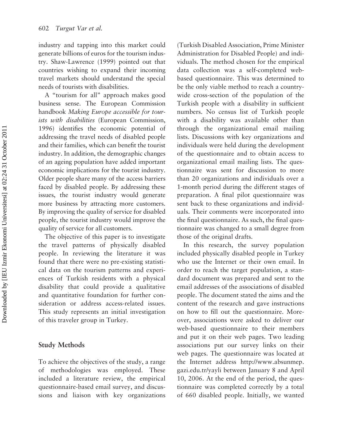industry and tapping into this market could generate billions of euros for the tourism industry. Shaw-Lawrence (1999) pointed out that countries wishing to expand their incoming travel markets should understand the special needs of tourists with disabilities.

A "tourism for all" approach makes good business sense. The European Commission handbook Making Europe accessible for tourists with disabilities (European Commission, 1996) identifies the economic potential of addressing the travel needs of disabled people and their families, which can benefit the tourist industry. In addition, the demographic changes of an ageing population have added important economic implications for the tourist industry. Older people share many of the access barriers faced by disabled people. By addressing these issues, the tourist industry would generate more business by attracting more customers. By improving the quality of service for disabled people, the tourist industry would improve the quality of service for all customers.

The objective of this paper is to investigate the travel patterns of physically disabled people. In reviewing the literature it was found that there were no pre-existing statistical data on the tourism patterns and experiences of Turkish residents with a physical disability that could provide a qualitative and quantitative foundation for further consideration or address access-related issues. This study represents an initial investigation of this traveler group in Turkey.

#### Study Methods

To achieve the objectives of the study, a range of methodologies was employed. These included a literature review, the empirical questionnaire-based email survey, and discussions and liaison with key organizations

(Turkish Disabled Association, Prime Minister Administration for Disabled People) and individuals. The method chosen for the empirical data collection was a self-completed webbased questionnaire. This was determined to be the only viable method to reach a countrywide cross-section of the population of the Turkish people with a disability in sufficient numbers. No census list of Turkish people with a disability was available other than through the organizational email mailing lists. Discussions with key organizations and individuals were held during the development of the questionnaire and to obtain access to organizational email mailing lists. The questionnaire was sent for discussion to more than 20 organizations and individuals over a 1-month period during the different stages of preparation. A final pilot questionnaire was sent back to these organizations and individuals. Their comments were incorporated into the final questionnaire. As such, the final questionnaire was changed to a small degree from those of the original drafts.

In this research, the survey population included physically disabled people in Turkey who use the Internet or their own email. In order to reach the target population, a standard document was prepared and sent to the email addresses of the associations of disabled people. The document stated the aims and the content of the research and gave instructions on how to fill out the questionnaire. Moreover, associations were asked to deliver our web-based questionnaire to their members and put it on their web pages. Two leading associations put our survey links on their web pages. The questionnaire was located at the Internet address [http://www.absunmep.](http://www.absunmep.gazi.edu.tr/yayli) [gazi.edu.tr/yayli](http://www.absunmep.gazi.edu.tr/yayli) between January 8 and April 10, 2006. At the end of the period, the questionnaire was completed correctly by a total of 660 disabled people. Initially, we wanted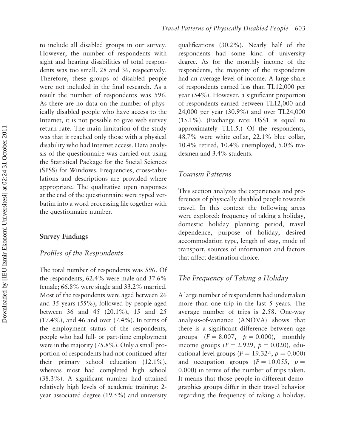to include all disabled groups in our survey. However, the number of respondents with sight and hearing disabilities of total respondents was too small, 28 and 36, respectively. Therefore, these groups of disabled people were not included in the final research. As a result the number of respondents was 596. As there are no data on the number of physically disabled people who have access to the Internet, it is not possible to give web survey return rate. The main limitation of the study was that it reached only those with a physical disability who had Internet access. Data analysis of the questionnaire was carried out using the Statistical Package for the Social Sciences (SPSS) for Windows. Frequencies, cross-tabulations and descriptions are provided where appropriate. The qualitative open responses at the end of the questionnaire were typed verbatim into a word processing file together with the questionnaire number.

#### Survey Findings

### Profiles of the Respondents

The total number of respondents was 596. Of the respondents, 62.4% were male and 37.6% female; 66.8% were single and 33.2% married. Most of the respondents were aged between 26 and 35 years (55%), followed by people aged between 36 and 45 (20.1%), 15 and 25 (17.4%), and 46 and over (7.4%). In terms of the employment status of the respondents, people who had full- or part-time employment were in the majority (75.8%). Only a small proportion of respondents had not continued after their primary school education (12.1%), whereas most had completed high school (38.3%). A significant number had attained relatively high levels of academic training: 2 year associated degree (19.5%) and university qualifications (30.2%). Nearly half of the respondents had some kind of university degree. As for the monthly income of the respondents, the majority of the respondents had an average level of income. A large share of respondents earned less than TL12,000 per year (54%). However, a significant proportion of respondents earned between TL12,000 and 24,000 per year (30.9%) and over TL24,000 (15.1%). (Exchange rate: US\$1 is equal to approximately TL1.5.) Of the respondents, 48.7% were white collar, 22.1% blue collar, 10.4% retired, 10.4% unemployed, 5.0% tradesmen and 3.4% students.

# Tourism Patterns

This section analyzes the experiences and preferences of physically disabled people towards travel. In this context the following areas were explored: frequency of taking a holiday, domestic holiday planning period, travel dependence, purpose of holiday, desired accommodation type, length of stay, mode of transport, sources of information and factors that affect destination choice.

# The Frequency of Taking a Holiday

A large number of respondents had undertaken more than one trip in the last 5 years. The average number of trips is 2.58. One-way analysis-of-variance (ANOVA) shows that there is a significant difference between age groups  $(F = 8.007, p = 0.000)$ , monthly income groups ( $F = 2.929$ ,  $p = 0.020$ ), educational level groups ( $F = 19.324$ ,  $p = 0.000$ ) and occupation groups  $(F = 10.055, p =$ 0.000) in terms of the number of trips taken. It means that those people in different demographics groups differ in their travel behavior regarding the frequency of taking a holiday.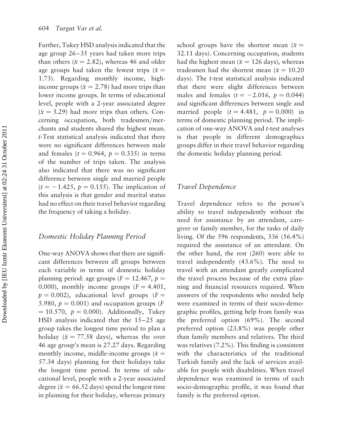Further, Tukey HSD analysis indicated that the age group 26–35 years had taken more trips than others ( $\bar{x} = 2.82$ ), whereas 46 and older age groups had taken the fewest trips ( $\bar{x} =$ 1.73). Regarding monthly income, highincome groups ( $\bar{x} = 2.78$ ) had more trips than lower income groups. In terms of educational level, people with a 2-year associated degree  $(\bar{x} = 3.29)$  had more trips than others. Concerning occupation, both tradesmen/merchants and students shared the highest mean. t-Test statistical analysis indicated that there were no significant differences between male and females ( $t = 0.964$ ,  $p = 0.335$ ) in terms of the number of trips taken. The analysis also indicated that there was no significant difference between single and married people  $(t = -1.425, p = 0.155)$ . The implication of this analysis is that gender and marital status had no effect on their travel behavior regarding the frequency of taking a holiday.

### Domestic Holiday Planning Period

One-way ANOVA shows that there are significant differences between all groups between each variable in terms of domestic holiday planning period: age groups ( $F = 12.467$ ,  $p =$ 0.000), monthly income groups  $(F = 4.401,$  $p = 0.002$ ), educational level groups (F = 5.980,  $p = 0.001$ ) and occupation groups (F  $= 10.570$ ,  $p = 0.000$ ). Additionally, Tukey HSD analysis indicated that the 15–25 age group takes the longest time period to plan a holiday ( $\bar{x}$  = 77.58 days), whereas the over 46 age group's mean is 27.27 days. Regarding monthly income, middle-income groups ( $\bar{x}$  = 57.34 days) planning for their holidays take the longest time period. In terms of educational level, people with a 2-year associated degree ( $\bar{x} = 66.52$  days) spend the longest time in planning for their holiday, whereas primary

school groups have the shortest mean ( $\bar{x}$  = 32.11 days). Concerning occupation, students had the highest mean ( $\bar{x}=126$  days), whereas tradesmen had the shortest mean ( $\bar{x} = 10.20$ days). The t-test statistical analysis indicated that there were slight differences between males and females  $(t = -2.016, p = 0.044)$ and significant differences between single and married people  $(t = 4.481, p = 0.000)$  in terms of domestic planning period. The implication of one-way ANOVA and t-test analyses is that people in different demographics groups differ in their travel behavior regarding the domestic holiday planning period.

# Travel Dependence

Travel dependence refers to the person's ability to travel independently without the need for assistance by an attendant, caregiver or family member, for the tasks of daily living. Of the 596 respondents, 336 (56.4%) required the assistance of an attendant. On the other hand, the rest (260) were able to travel independently (43.6%). The need to travel with an attendant greatly complicated the travel process because of the extra planning and financial resources required. When answers of the respondents who needed help were examined in terms of their socio-demographic profiles, getting help from family was the preferred option (69%). The second preferred option (23.8%) was people other than family members and relatives. The third was relatives (7.2%). This finding is consistent with the characteristics of the traditional Turkish family and the lack of services available for people with disabilities. When travel dependence was examined in terms of each socio-demographic profile, it was found that family is the preferred option.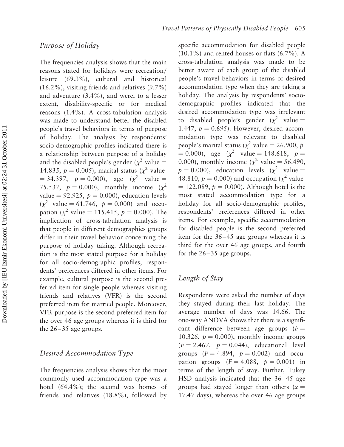#### Purpose of Holiday

The frequencies analysis shows that the main reasons stated for holidays were recreation/ leisure (69.3%), cultural and historical (16.2%), visiting friends and relatives (9.7%) and adventure (3.4%), and were, to a lesser extent, disability-specific or for medical reasons (1.4%). A cross-tabulation analysis was made to understand better the disabled people's travel behaviors in terms of purpose of holiday. The analysis by respondents' socio-demographic profiles indicated there is a relationship between purpose of a holiday and the disabled people's gender ( $\chi^2$  value = 14.835,  $p = 0.005$ ), marital status ( $\chi^2$  value  $= 34.397$ ,  $p = 0.000$ ), age ( $\chi^2$  value = 75.537,  $p = 0.000$ ), monthly income  $(\chi^2)$ value = 92.925,  $p = 0.000$ ), education levels  $(\chi^2 \text{ value} = 61.746, p = 0.000) \text{ and occur}$ pation ( $\chi^2$  value = 115.415,  $p = 0.000$ ). The implication of cross-tabulation analysis is that people in different demographics groups differ in their travel behavior concerning the purpose of holiday taking. Although recreation is the most stated purpose for a holiday for all socio-demographic profiles, respondents' preferences differed in other items. For example, cultural purpose is the second preferred item for single people whereas visiting friends and relatives (VFR) is the second preferred item for married people. Moreover, VFR purpose is the second preferred item for the over 46 age groups whereas it is third for the 26–35 age groups.

#### Desired Accommodation Type

The frequencies analysis shows that the most commonly used accommodation type was a hotel (64.4%); the second was homes of friends and relatives (18.8%), followed by specific accommodation for disabled people  $(10.1\%)$  and rented houses or flats  $(6.7\%)$ . A cross-tabulation analysis was made to be better aware of each group of the disabled people's travel behaviors in terms of desired accommodation type when they are taking a holiday. The analysis by respondents' sociodemographic profiles indicated that the desired accommodation type was irrelevant to disabled people's gender  $(\chi^2$  value = 1.447,  $p = 0.695$ ). However, desired accommodation type was relevant to disabled people's marital status ( $\chi^2$  value = 26.900, p  $= 0.000$ ), age ( $\chi^2$  value  $= 148.618$ ,  $p =$ 0.000), monthly income ( $\chi^2$  value = 56.490,  $p = 0.000$ ), education levels ( $\chi^2$  value = 48.810,  $p = 0.000$ ) and occupation ( $\chi^2$  value  $= 122.089, p = 0.000$ . Although hotel is the most stated accommodation type for a holiday for all socio-demographic profiles, respondents' preferences differed in other items. For example, specific accommodation for disabled people is the second preferred item for the 36–45 age groups whereas it is third for the over 46 age groups, and fourth for the 26–35 age groups.

## Length of Stay

Respondents were asked the number of days they stayed during their last holiday. The average number of days was 14.66. The one-way ANOVA shows that there is a significant difference between age groups  $(F =$ 10.326,  $p = 0.000$ , monthly income groups  $(F = 2.467, p = 0.044)$ , educational level groups  $(F = 4.894, p = 0.002)$  and occupation groups  $(F = 4.088, p = 0.001)$  in terms of the length of stay. Further, Tukey HSD analysis indicated that the 36–45 age groups had stayed longer than others ( $\bar{x}$  = 17.47 days), whereas the over 46 age groups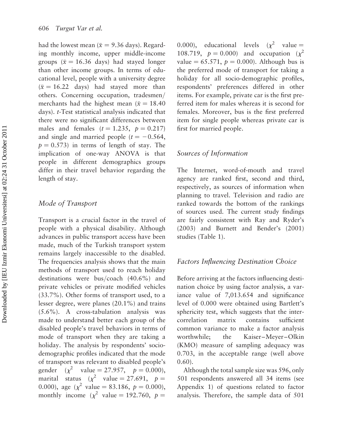had the lowest mean ( $\bar{x} = 9.36$  days). Regarding monthly income, upper middle-income groups ( $\bar{x} = 16.36$  days) had stayed longer than other income groups. In terms of educational level, people with a university degree  $(\bar{x} = 16.22 \text{ days})$  had stayed more than others. Concerning occupation, tradesmen/ merchants had the highest mean ( $\bar{x} = 18.40$ days). t-Test statistical analysis indicated that there were no significant differences between males and females  $(t = 1.235, p = 0.217)$ and single and married people ( $t = -0.564$ ,  $p = 0.573$ ) in terms of length of stay. The implication of one-way ANOVA is that people in different demographics groups differ in their travel behavior regarding the length of stay.

## Mode of Transport

Transport is a crucial factor in the travel of people with a physical disability. Although advances in public transport access have been made, much of the Turkish transport system remains largely inaccessible to the disabled. The frequencies analysis shows that the main methods of transport used to reach holiday destinations were bus/coach (40.6%) and private vehicles or private modified vehicles (33.7%). Other forms of transport used, to a lesser degree, were planes (20.1%) and trains (5.6%). A cross-tabulation analysis was made to understand better each group of the disabled people's travel behaviors in terms of mode of transport when they are taking a holiday. The analysis by respondents' sociodemographic profiles indicated that the mode of transport was relevant to disabled people's gender  $(\chi^2 \text{ value} = 27.957, p = 0.000),$ marital status  $(\chi^2 \text{ value} = 27.691, p =$ 0.000), age  $(\chi^2 \text{ value} = 83.186, p = 0.000)$ , monthly income  $(\chi^2 \text{ value} = 192.760, p =$ 

0.000), educational levels  $(\chi^2$  value = 108.719,  $p = 0.000$  and occupation  $(\chi^2)$ value =  $65.571$ ,  $p = 0.000$ ). Although bus is the preferred mode of transport for taking a holiday for all socio-demographic profiles, respondents' preferences differed in other items. For example, private car is the first preferred item for males whereas it is second for females. Moreover, bus is the first preferred item for single people whereas private car is first for married people.

### Sources of Information

The Internet, word-of-mouth and travel agency are ranked first, second and third, respectively, as sources of information when planning to travel. Television and radio are ranked towards the bottom of the rankings of sources used. The current study findings are fairly consistent with Ray and Ryder's (2003) and Burnett and Bender's (2001) studies (Table 1).

#### Factors Influencing Destination Choice

Before arriving at the factors influencing destination choice by using factor analysis, a variance value of 7,013.654 and significance level of 0.000 were obtained using Bartlett's sphericity test, which suggests that the intercorrelation matrix contains sufficient common variance to make a factor analysis worthwhile; the Kaiser–Meyer–Olkin (KMO) measure of sampling adequacy was 0.703, in the acceptable range (well above 0.60).

Although the total sample size was 596, only 501 respondents answered all 34 items (see Appendix 1) of questions related to factor analysis. Therefore, the sample data of 501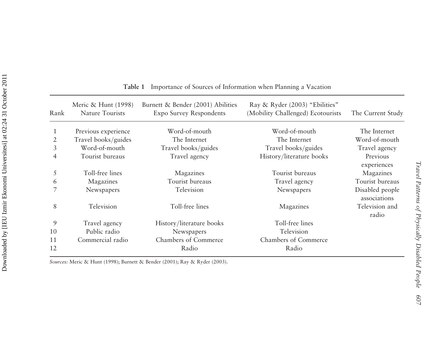| Rank | Meric $& Hunt(1998)$<br><b>Nature Tourists</b> | Burnett & Bender (2001) Abilities<br><b>Expo Survey Respondents</b> | Ray & Ryder (2003) "Ebilities"<br>(Mobility Challenged) Ecotourists | The Current Study               |  |  |
|------|------------------------------------------------|---------------------------------------------------------------------|---------------------------------------------------------------------|---------------------------------|--|--|
| 1    | Previous experience                            | Word-of-mouth                                                       | Word-of-mouth                                                       | The Internet                    |  |  |
| 2    | Travel books/guides                            | The Internet                                                        | The Internet                                                        | Word-of-mouth                   |  |  |
| 3    | Word-of-mouth                                  | Travel books/guides                                                 | Travel books/guides                                                 | Travel agency                   |  |  |
| 4    | Tourist bureaus                                | Travel agency                                                       | History/literature books                                            | Previous<br>experiences         |  |  |
| 5    | Toll-free lines                                | Magazines                                                           | Tourist bureaus                                                     | Magazines                       |  |  |
| 6    | Magazines                                      | Tourist bureaus                                                     | Travel agency                                                       | Tourist bureaus                 |  |  |
|      | Newspapers                                     | Television                                                          | Newspapers                                                          | Disabled people<br>associations |  |  |
| 8    | Television                                     | Toll-free lines                                                     | Magazines                                                           | Television and<br>radio         |  |  |
| 9    | Travel agency                                  | History/literature books                                            | Toll-free lines                                                     |                                 |  |  |
| 10   | Public radio                                   | Newspapers                                                          | Television                                                          |                                 |  |  |
| 11   | Commercial radio                               | <b>Chambers of Commerce</b>                                         | <b>Chambers of Commerce</b>                                         |                                 |  |  |
| 12   |                                                | Radio                                                               | Radio                                                               |                                 |  |  |

#### Table 1 Importance of Sources of Information when Planning <sup>a</sup> Vacation

Sources: Meric & Hunt (1998); Burnett & Bender (2001); Ray & Ryder (2003).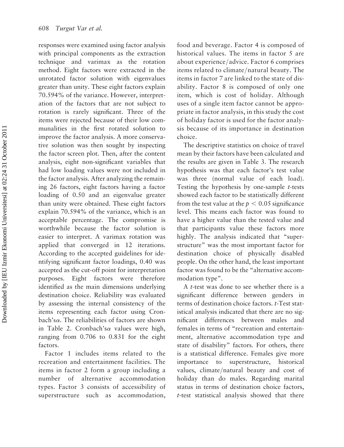responses were examined using factor analysis with principal components as the extraction technique and varimax as the rotation method. Eight factors were extracted in the unrotated factor solution with eigenvalues greater than unity. These eight factors explain 70.594% of the variance. However, interpretation of the factors that are not subject to rotation is rarely significant. Three of the items were rejected because of their low communalities in the first rotated solution to improve the factor analysis. A more conservative solution was then sought by inspecting the factor screen plot. Then, after the content analysis, eight non-significant variables that had low loading values were not included in the factor analysis. After analyzing the remaining 26 factors, eight factors having a factor loading of 0.50 and an eigenvalue greater than unity were obtained. These eight factors explain 70.594% of the variance, which is an acceptable percentage. The compromise is worthwhile because the factor solution is easier to interpret. A varimax rotation was applied that converged in 12 iterations. According to the accepted guidelines for identifying significant factor loadings, 0.40 was accepted as the cut-off point for interpretation purposes. Eight factors were therefore identified as the main dimensions underlying destination choice. Reliability was evaluated by assessing the internal consistency of the items representing each factor using Cronbach'sa. The reliabilities of factors are shown in Table 2. Cronbach's  $\alpha$  values were high, ranging from 0.706 to 0.831 for the eight factors.

Factor 1 includes items related to the recreation and entertainment facilities. The items in factor 2 form a group including a number of alternative accommodation types. Factor 3 consists of accessibility of superstructure such as accommodation,

food and beverage. Factor 4 is composed of historical values. The items in factor 5 are about experience/advice. Factor 6 comprises items related to climate/natural beauty. The items in factor 7 are linked to the state of disability. Factor 8 is composed of only one item, which is cost of holiday. Although uses of a single item factor cannot be appropriate in factor analysis, in this study the cost of holiday factor is used for the factor analysis because of its importance in destination choice.

The descriptive statistics on choice of travel mean by their factors have been calculated and the results are given in Table 3. The research hypothesis was that each factor's test value was three (normal value of each load). Testing the hypothesis by one-sample t-tests showed each factor to be statistically different from the test value at the  $p < 0.05$  significance level. This means each factor was found to have a higher value than the tested value and that participants value these factors more highly. The analysis indicated that "superstructure" was the most important factor for destination choice of physically disabled people. On the other hand, the least important factor was found to be the "alternative accommodation type".

A t-test was done to see whether there is a significant difference between genders in terms of destination choice factors. t-Test statistical analysis indicated that there are no significant differences between males and females in terms of "recreation and entertainment, alternative accommodation type and state of disability" factors. For others, there is a statistical difference. Females give more importance to superstructure, historical values, climate/natural beauty and cost of holiday than do males. Regarding marital status in terms of destination choice factors, t-test statistical analysis showed that there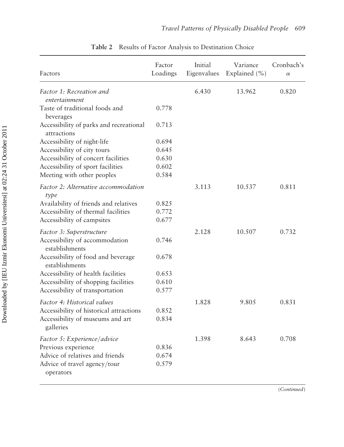| Factors                                                | Factor<br>Loadings | Initial<br>Eigenvalues | Variance<br>Explained $(\% )$ | Cronbach's<br>$\alpha$ |  |
|--------------------------------------------------------|--------------------|------------------------|-------------------------------|------------------------|--|
| Factor 1: Recreation and<br>entertainment              |                    | 6.430                  | 13.962                        | 0.820                  |  |
| Taste of traditional foods and<br>beverages            | 0.778              |                        |                               |                        |  |
| Accessibility of parks and recreational<br>attractions | 0.713              |                        |                               |                        |  |
| Accessibility of night-life                            | 0.694              |                        |                               |                        |  |
| Accessibility of city tours                            | 0.645              |                        |                               |                        |  |
| Accessibility of concert facilities                    | 0.630              |                        |                               |                        |  |
| Accessibility of sport facilities                      | 0.602              |                        |                               |                        |  |
| Meeting with other peoples                             | 0.584              |                        |                               |                        |  |
| Factor 2: Alternative accommodation<br>type            |                    | 3.113                  | 10.537                        | 0.811                  |  |
| Availability of friends and relatives                  | 0.825              |                        |                               |                        |  |
| Accessibility of thermal facilities                    | 0.772              |                        |                               |                        |  |
| Accessibility of campsites                             | 0.677              |                        |                               |                        |  |
| Factor 3: Superstructure                               |                    | 2.128                  | 10.507                        | 0.732                  |  |
| Accessibility of accommodation<br>establishments       | 0.746              |                        |                               |                        |  |
| Accessibility of food and beverage<br>establishments   | 0.678              |                        |                               |                        |  |
| Accessibility of health facilities                     | 0.653              |                        |                               |                        |  |
| Accessibility of shopping facilities                   | 0.610              |                        |                               |                        |  |
| Accessibility of transportation                        | 0.577              |                        |                               |                        |  |
| Factor 4: Historical values                            |                    | 1.828                  | 9.805                         | 0.831                  |  |
| Accessibility of historical attractions                | 0.852              |                        |                               |                        |  |
| Accessibility of museums and art<br>galleries          | 0.834              |                        |                               |                        |  |
| Factor 5: Experience/advice                            |                    | 1.398                  | 8.643                         | 0.708                  |  |
| Previous experience                                    | 0.836              |                        |                               |                        |  |
| Advice of relatives and friends                        | 0.674              |                        |                               |                        |  |
| Advice of travel agency/tour<br>operators              | 0.579              |                        |                               |                        |  |

# Table 2 Results of Factor Analysis to Destination Choice

(Continued)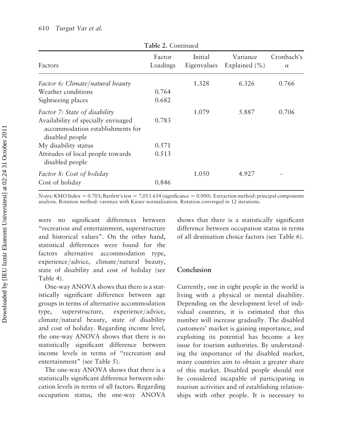|                                                                                            | <b>rapic <math>\boldsymbol{\Sigma}</math>.</b> Continuou |                        |                               |                        |  |  |  |  |  |  |  |  |
|--------------------------------------------------------------------------------------------|----------------------------------------------------------|------------------------|-------------------------------|------------------------|--|--|--|--|--|--|--|--|
| Factors                                                                                    | Factor<br>Loadings                                       | Initial<br>Eigenvalues | Variance<br>Explained $(\% )$ | Cronbach's<br>$\alpha$ |  |  |  |  |  |  |  |  |
| Factor 6: Climate/natural beauty                                                           |                                                          | 1.328                  | 6.326                         | 0.766                  |  |  |  |  |  |  |  |  |
| Weather conditions                                                                         | 0.764                                                    |                        |                               |                        |  |  |  |  |  |  |  |  |
| Sightseeing places                                                                         | 0.682                                                    |                        |                               |                        |  |  |  |  |  |  |  |  |
| Factor 7: State of disability                                                              |                                                          | 1.079                  | 5.887                         | 0.706                  |  |  |  |  |  |  |  |  |
| Availability of specially envisaged<br>accommodation establishments for<br>disabled people | 0.783                                                    |                        |                               |                        |  |  |  |  |  |  |  |  |
| My disability status                                                                       | 0.571                                                    |                        |                               |                        |  |  |  |  |  |  |  |  |
| Attitudes of local people towards<br>disabled people                                       | 0.513                                                    |                        |                               |                        |  |  |  |  |  |  |  |  |
| Factor 8: Cost of holiday<br>Cost of holiday                                               | 0.846                                                    | 1.050                  | 4.927                         |                        |  |  |  |  |  |  |  |  |
|                                                                                            |                                                          |                        |                               |                        |  |  |  |  |  |  |  |  |

Table 2. Continued

Notes: KMO Index = 0.703; Bartlett's test = 7,013.654 (significance = 0.000). Extraction method: principal components analysis. Rotation method: varimax with Kaiser normalization. Rotation converged in 12 iterations.

were no significant differences between "recreation and entertainment, superstructure and historical values". On the other hand, statistical differences were found for the factors alternative accommodation type, experience/advice, climate/natural beauty, state of disability and cost of holiday (see Table 4).

One-way ANOVA shows that there is a statistically significant difference between age groups in terms of alternative accommodation type, superstructure, experience/advice, climate/natural beauty, state of disability and cost of holiday. Regarding income level, the one-way ANOVA shows that there is no statistically significant difference between income levels in terms of "recreation and entertainment" (see Table 5).

The one-way ANOVA shows that there is a statistically significant difference between education levels in terms of all factors. Regarding occupation status, the one-way ANOVA

shows that there is a statistically significant difference between occupation status in terms of all destination choice factors (see Table 6).

# Conclusion

Currently, one in eight people in the world is living with a physical or mental disability. Depending on the development level of individual countries, it is estimated that this number will increase gradually. The disabled customers' market is gaining importance, and exploiting its potential has become a key issue for tourism authorities. By understanding the importance of the disabled market, many countries aim to obtain a greater share of this market. Disabled people should not be considered incapable of participating in tourism activities and of establishing relationships with other people. It is necessary to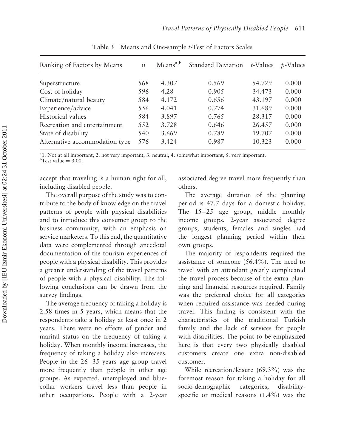| Ranking of Factors by Means    | $\boldsymbol{n}$ | Mean <sub>a,b</sub> | Standard Deviation t-Values |        | <i>p</i> -Values |  |
|--------------------------------|------------------|---------------------|-----------------------------|--------|------------------|--|
| Superstructure                 | 568              | 4.307               | 0.569                       | 54.729 | 0.000            |  |
| Cost of holiday                | 596              | 4.28                | 0.905                       | 34.473 | 0.000            |  |
| Climate/natural beauty         | 584              | 4.172               | 0.656                       | 43.197 | 0.000            |  |
| Experience/advice              | 556              | 4.041               | 0.774                       | 31.689 | 0.000            |  |
| Historical values              | 584              | 3.897               | 0.765                       | 28.317 | 0.000            |  |
| Recreation and entertainment   | 552              | 3.728               | 0.646                       | 26.457 | 0.000            |  |
|                                | 540              | 3.669               | 0.789                       | 19.707 | 0.000            |  |
| Alternative accommodation type | 576              | 3.424               | 0.987                       | 10.323 | 0.000            |  |
| State of disability            |                  |                     |                             |        |                  |  |

Table 3 Means and One-sample t-Test of Factors Scales

a 1: Not at all important; 2: not very important; 3: neutral; 4: somewhat important; 5: very important.

 ${}^{\text{b}}$ Test value = 3.00.

accept that traveling is a human right for all, including disabled people.

The overall purpose of the study was to contribute to the body of knowledge on the travel patterns of people with physical disabilities and to introduce this consumer group to the business community, with an emphasis on service marketers. To this end, the quantitative data were complemented through anecdotal documentation of the tourism experiences of people with a physical disability. This provides a greater understanding of the travel patterns of people with a physical disability. The following conclusions can be drawn from the survey findings.

The average frequency of taking a holiday is 2.58 times in 5 years, which means that the respondents take a holiday at least once in 2 years. There were no effects of gender and marital status on the frequency of taking a holiday. When monthly income increases, the frequency of taking a holiday also increases. People in the 26–35 years age group travel more frequently than people in other age groups. As expected, unemployed and bluecollar workers travel less than people in other occupations. People with a 2-year associated degree travel more frequently than others.

The average duration of the planning period is 47.7 days for a domestic holiday. The 15–25 age group, middle monthly income groups, 2-year associated degree groups, students, females and singles had the longest planning period within their own groups.

The majority of respondents required the assistance of someone (56.4%). The need to travel with an attendant greatly complicated the travel process because of the extra planning and financial resources required. Family was the preferred choice for all categories when required assistance was needed during travel. This finding is consistent with the characteristics of the traditional Turkish family and the lack of services for people with disabilities. The point to be emphasized here is that every two physically disabled customers create one extra non-disabled customer.

While recreation/leisure (69.3%) was the foremost reason for taking a holiday for all socio-demographic categories, disabilityspecific or medical reasons (1.4%) was the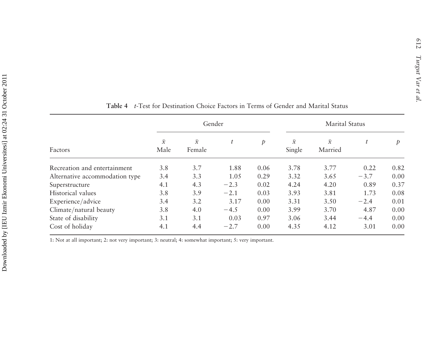|                                |                   | Gender              | Marital Status   |               |                     |                      |        |               |  |
|--------------------------------|-------------------|---------------------|------------------|---------------|---------------------|----------------------|--------|---------------|--|
| Factors                        | $\bar{x}$<br>Male | $\bar{x}$<br>Female | $\boldsymbol{t}$ | $\mathcal{P}$ | $\bar{x}$<br>Single | $\bar{x}$<br>Married | t      | $\mathcal{P}$ |  |
| Recreation and entertainment   | 3.8               | 3.7                 | 1.88             | 0.06          | 3.78                | 3.77                 | 0.22   | 0.82          |  |
| Alternative accommodation type | 3.4               | 3.3                 | 1.05             | 0.29          | 3.32                | 3.65                 | $-3.7$ | 0.00          |  |
| Superstructure                 | 4.1               | 4.3                 | $-2.3$           | 0.02          | 4.24                | 4.20                 | 0.89   | 0.37          |  |
| Historical values              | 3.8               | 3.9                 | $-2.1$           | 0.03          | 3.93                | 3.81                 | 1.73   | 0.08          |  |
| Experience/advice              | 3.4               | 3.2                 | 3.17             | 0.00          | 3.31                | 3.50                 | $-2.4$ | 0.01          |  |
| Climate/natural beauty         | 3.8               | 4.0                 | $-4.5$           | 0.00          | 3.99                | 3.70                 | 4.87   | 0.00          |  |
| State of disability            | 3.1               | 3.1                 | 0.03             | 0.97          | 3.06                | 3.44                 | $-4.4$ | 0.00          |  |
| Cost of holiday                | 4.1               | 4.4                 | $-2.7$           | 0.00          | 4.35                | 4.12                 | 3.01   | 0.00          |  |

| Table 4 t-Test for Destination Choice Factors in Terms of Gender and Marital Status |
|-------------------------------------------------------------------------------------|
|                                                                                     |

1: Not at all important; 2: not very important; 3: neutral; 4: somewhat important; 5: very important.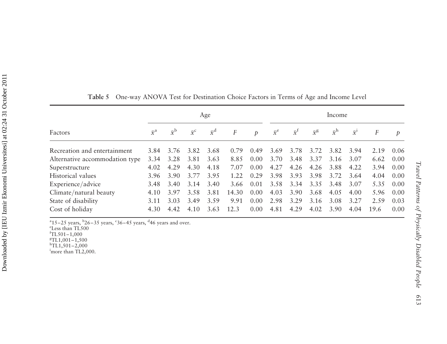|                                                                         | Factors                                                                                                                             |
|-------------------------------------------------------------------------|-------------------------------------------------------------------------------------------------------------------------------------|
| Oownloaded by [IEU Izmir Ekonomi Universitesi] at 02:24 31 October 2011 | Recreat:<br>Alternat<br>Supersti<br>Historic<br><b>Experie</b><br>Climate<br>State of<br>Cost of                                    |
|                                                                         | $a_{15-25}$ y<br><sup>e</sup> Less than<br>$\text{t}$ TL501-1<br>$\mathrm{F}\mathrm{L}1{,}001$<br>hTL1,501<br>i <sub>more tha</sub> |

Age Income s  $\bar{x}$  $\bar{x}^{\mathrm{a}}$ a  $\bar{x}^{\text{b}}$  $\bar{x}^c$ c  $\bar{x}^{\text{d}}$  $F$  p  $\bar{x}$  $\bar{x}^e$ e  $\bar{x}^{\text{f}}$  $\bar{x}^g$  $\bar{x}^{\rm h}$  $\bar{x}^{\mathrm{i}}$  $F$  p Recreation and entertainment 3.84 3.76 3.82 3.68 0.79 0.49 3.69 3.78 3.72 3.82 3.94 2.19 0.06altive accommodation type 3.34 3.28 3.81 3.63 8.85 0.00 3.70 3.48 3.37 3.16 3.07 6.62 0.00 Superstructure 4.02 4.29 4.30 4.18 7.07 0.00 4.27 4.26 4.26 3.88 4.22 3.94 0.00 Historical values 3.96 3.90 3.77 3.95 1.22 0.29 3.98 3.93 3.98 3.72 3.64 4.04 0.00 $0.00$ Experience/advice 3.48 3.40 3.14 3.40 3.66 0.01 3.58 3.34 3.35 3.48 3.07 5.35 0.00 e/natural beauty 4.10 3.97 3.58 3.81 14.30 0.00 4.03 3.90 3.68 4.05 4.00 5.96 0.00 State of disability 3.11 3.03 3.49 3.59 9.91 0.00 2.98 3.29 3.16 3.08 3.27 2.59 0.03 Cost of holiday 4.30 4.42 4.10 3.63 12.3 0.00 4.81 4.29 4.02 3.90 4.04 19.6 0.00

Table 5 One-way ANOVA Test for Destination Choice Factors in Terms of Age and Income Level

years,  $b26-35$  years,  $c36-45$  years,  $d46$  years and over.  $n$  TL500

1,000

 $\frac{-1,500}{-2,000}$ 

an TL2,000.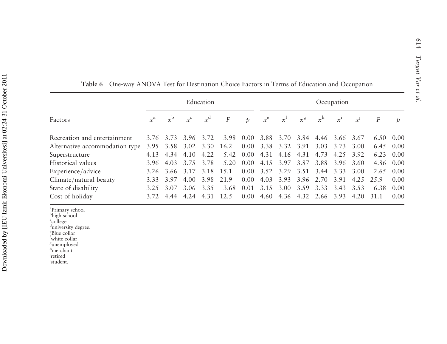|                                | Education         |                     |                        |                   |      | Occupation       |                   |                        |                        |                          |             |                   |           |      |
|--------------------------------|-------------------|---------------------|------------------------|-------------------|------|------------------|-------------------|------------------------|------------------------|--------------------------|-------------|-------------------|-----------|------|
| Factors                        | $\bar{x}^{\rm a}$ | $\bar{x}^{\rm b}$   | $\bar{x}^{\mathrm{c}}$ | $\bar{x}^{\rm d}$ | F    | $\mathcal{D}$    | $\bar{x}^{\rm e}$ | $\bar{x}^{\mathrm{t}}$ | $\bar{x}^{\mathrm{g}}$ | $\bar{x}^{\rm h}$        | $\bar{x}^1$ | $\bar{x}^{\rm l}$ | F         | Þ    |
| Recreation and entertainment   |                   | 3.76 3.73 3.96 3.72 |                        |                   |      | 3.98 0.00        | 3.88              | 3.70                   |                        | 3.84 4.46 3.66 3.67      |             |                   | 6.50      | 0.00 |
| Alternative accommodation type | 3.95              | 3.58                | 3.02 3.30              |                   | 16.2 |                  | $0.00\quad 3.38$  | 3.32 3.91              |                        |                          | 3.03 3.73   | 3.00              | 6.45      | 0.00 |
| Superstructure                 | 4.13              | 4.34                | 4.10                   | 4.22              |      | $5.42\quad 0.00$ | 4.31              | 4.16                   | 4.31                   | 4.73                     | 4.2.5 3.92  |                   | 6.23      | 0.00 |
| Historical values              | 3.96              | 4.03                | 3.75 3.78              |                   | 5.20 | 0.00             | 4.15              | 3.97                   |                        | 3.87 3.88                | 3.96 3.60   |                   | 4.86 0.00 |      |
| Experience/advice              | 3.26              | 3.66                | 3.17 3.18              |                   | 15.1 | 0.00             | 3.52              | 3.29                   | 3.51                   | 3.44                     | 3.33        | 3.00              | 2.65      | 0.00 |
| Climate/natural beauty         | 3.33              | 3.97                | 4.00                   | 3.98              | 21.9 | 0.00             | 4.03              | 3.93                   | 3.96 2.70              |                          | 3.91        | 4.2.5             | 2.5.9     | 0.00 |
| State of disability            | 3.25              | 3.07                | 3.06 3.35              |                   | 3.68 | 0.01             | 3.15              | 3.00                   | 3.59                   | 3.33                     | 3.43 3.53   |                   | 6.38      | 0.00 |
| Cost of holiday                | 3.72              |                     | 4.44 4.24 4.31         |                   | 12.5 | 0.00             | 4.60              |                        |                        | 4.36 4.32 2.66 3.93 4.20 |             |                   | 31.1      | 0.00 |

Table 6 One-way ANOVA Test for Destination Choice Factors in Terms of Education and Occupation

<sup>a</sup>Primary school<br>bhigh school<br>college

 $d$ university degree.

<sup>e</sup>Blue collar

fwhite collar

<sup>g</sup>unemployed<br><sup>h</sup>merchant

<sup>i</sup>retired <sup>j</sup>student.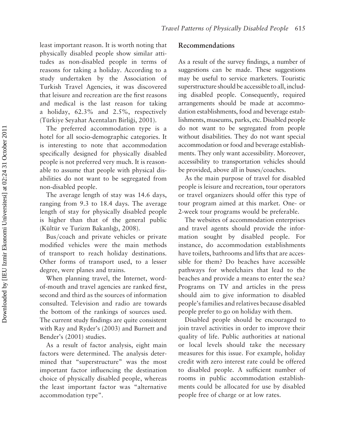least important reason. It is worth noting that physically disabled people show similar attitudes as non-disabled people in terms of reasons for taking a holiday. According to a study undertaken by the Association of Turkish Travel Agencies, it was discovered that leisure and recreation are the first reasons and medical is the last reason for taking a holiday, 62.3% and 2.5%, respectively (Türkiye Seyahat Acentaları Birliği, 2001).

The preferred accommodation type is a hotel for all socio-demographic categories. It is interesting to note that accommodation specifically designed for physically disabled people is not preferred very much. It is reasonable to assume that people with physical disabilities do not want to be segregated from non-disabled people.

The average length of stay was 14.6 days, ranging from 9.3 to 18.4 days. The average length of stay for physically disabled people is higher than that of the general public (Kültür ve Turizm Bakanlığı, 2008).

Bus/coach and private vehicles or private modified vehicles were the main methods of transport to reach holiday destinations. Other forms of transport used, to a lesser degree, were planes and trains.

When planning travel, the Internet, wordof-mouth and travel agencies are ranked first, second and third as the sources of information consulted. Television and radio are towards the bottom of the rankings of sources used. The current study findings are quite consistent with Ray and Ryder's (2003) and Burnett and Bender's (2001) studies.

As a result of factor analysis, eight main factors were determined. The analysis determined that "superstructure" was the most important factor influencing the destination choice of physically disabled people, whereas the least important factor was "alternative accommodation type".

#### Recommendations

As a result of the survey findings, a number of suggestions can be made. These suggestions may be useful to service marketers. Touristic superstructure should be accessible to all, including disabled people. Consequently, required arrangements should be made at accommodation establishments, food and beverage establishments, museums, parks, etc. Disabled people do not want to be segregated from people without disabilities. They do not want special accommodation or food and beverage establishments. They only want accessibility. Moreover, accessibility to transportation vehicles should be provided, above all in buses/coaches.

As the main purpose of travel for disabled people is leisure and recreation, tour operators or travel organizers should offer this type of tour program aimed at this market. One- or 2-week tour programs would be preferable.

The websites of accommodation enterprises and travel agents should provide the information sought by disabled people. For instance, do accommodation establishments have toilets, bathrooms and lifts that are accessible for them? Do beaches have accessible pathways for wheelchairs that lead to the beaches and provide a means to enter the sea? Programs on TV and articles in the press should aim to give information to disabled people's families and relatives because disabled people prefer to go on holiday with them.

Disabled people should be encouraged to join travel activities in order to improve their quality of life. Public authorities at national or local levels should take the necessary measures for this issue. For example, holiday credit with zero interest rate could be offered to disabled people. A sufficient number of rooms in public accommodation establishments could be allocated for use by disabled people free of charge or at low rates.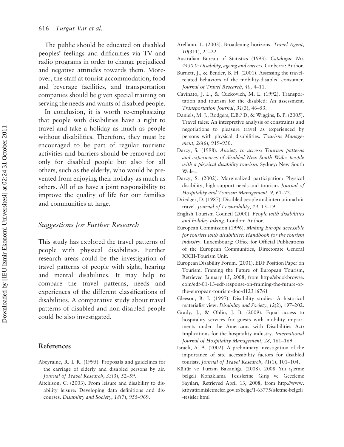The public should be educated on disabled peoples' feelings and difficulties via TV and radio programs in order to change prejudiced and negative attitudes towards them. Moreover, the staff at tourist accommodation, food and beverage facilities, and transportation companies should be given special training on serving the needs and wants of disabled people.

In conclusion, it is worth re-emphasizing that people with disabilities have a right to travel and take a holiday as much as people without disabilities. Therefore, they must be encouraged to be part of regular touristic activities and barriers should be removed not only for disabled people but also for all others, such as the elderly, who would be prevented from enjoying their holiday as much as others. All of us have a joint responsibility to improve the quality of life for our families and communities at large.

# Suggestions for Further Research

This study has explored the travel patterns of people with physical disabilities. Further research areas could be the investigation of travel patterns of people with sight, hearing and mental disabilities. It may help to compare the travel patterns, needs and experiences of the different classifications of disabilities. A comparative study about travel patterns of disabled and non-disabled people could be also investigated.

# References

- Abeyraine, R. I. R. (1995). Proposals and guidelines for the carriage of elderly and disabled persons by air. Journal of Travel Research, 33(3), 52–59.
- Aitchison, C. (2003). From leisure and disability to disability leisure: Developing data definitions and discourses. Disability and Society, 18(7), 955–969.
- Arellano, L. (2003). Broadening horizons. Travel Agent, 10(311), 21–22.
- Australian Bureau of Statistics (1993). Catalogue No. 4430.0: Disability, ageing and careers. Canberra: Author.
- Burnett, J., & Bender, B. H. (2001). Assessing the travelrelated behaviors of the mobility-disabled consumer. Journal of Travel Research, 40, 4–11.
- Cavinato, J. L., & Cuckovich, M. L. (1992). Transportation and tourism for the disabled: An assessment. Transportation Journal, 31(3), 46–53.
- Daniels, M. J., Rodgers, E.B.? D, & Wiggins, B. P. (2005). Travel tales: An interpretive analysis of constraints and negotiations to pleasure travel as experienced by persons with physical disabilities. Tourism Management, 26(6), 919–930.
- Darcy, S. (1998). Anxiety to access: Tourism patterns and experiences of disabled New South Wales people with a physical disability tourism. Sydney: New South Wales.
- Darcy, S. (2002). Marginalized participation: Physical disability, high support needs and tourism. Journal of Hospitality and Tourism Management, 9, 61–72.
- Driedger, D. (1987). Disabled people and international air travel. Journal of Leisurability, 14, 13–19.
- English Tourism Council (2000). People with disabilities and holiday taking. London: Author.
- European Commission (1996). Making Europe accessible for tourists with disabilities: Handbook for the tourism industry. Luxembourg: Office for Official Publications of the European Communities, Directorate General XXIII-Tourism Unit.
- European Disability Forum. (2001). EDF Position Paper on Tourism: Framing the Future of European Tourism, Retrieved January 15, 2008, from [http://ebookbrowse.](http://ebookbrowse.com/edf-01-13-edf-response-on-framing-the-future-of-the-european-tourism-doc-d12316761) [com/edf-01-13-edf-response-on-framing-the-future-of](http://ebookbrowse.com/edf-01-13-edf-response-on-framing-the-future-of-the-european-tourism-doc-d12316761)[the-european-tourism-doc-d12316761](http://ebookbrowse.com/edf-01-13-edf-response-on-framing-the-future-of-the-european-tourism-doc-d12316761)
- Gleeson, B. J. (1997). Disability studies: A historical materialist view. Disability and Society, 12(2), 197–202.
- Grady, J., & Ohlin, J. B. (2009). Equal access to hospitality services for guests with mobility impairments under the Americans with Disabilities Act: Implications for the hospitality industry. International Journal of Hospitality Management, 28, 161–169.
- Israeli, A. A. (2002). A preliminary investigation of the importance of site accessibility factors for disabled tourists. Journal of Travel Research, 41(1), 101–104.
- Kültür ve Turizm Bakanlığı. (2008). 2008 Yılı işletme belgeli Konaklama Tesislerine Giris¸ ve Geceleme Sayıları, Retrieved April 13, 2008, from [http://www.](http://www.ktbyatirimisletmeler.gov.tr/belge/1-63775/isletme-belgeli-tesisler.html) [ktbyatirimisletmeler.gov.tr/belge/1-63775/isletme-belgeli](http://www.ktbyatirimisletmeler.gov.tr/belge/1-63775/isletme-belgeli-tesisler.html) [-tesisler.html](http://www.ktbyatirimisletmeler.gov.tr/belge/1-63775/isletme-belgeli-tesisler.html)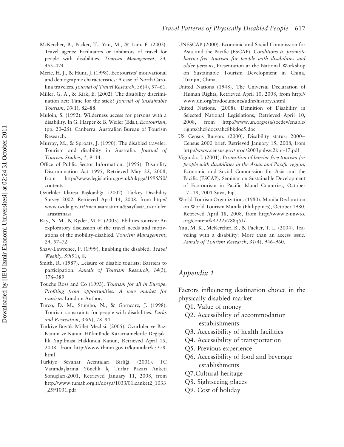- McKercher, B., Packer, T., Yau, M., & Lam, P. (2003). Travel agents: Facilitators or inhibitors of travel for people with disabilities. Tourism Management, 24, 465–474.
- Meric, H. J., & Hunt, J. (1998). Ecotourists' motivational and demographic characteristics: A case of North Carolina travelers. Journal of Travel Research, 36(4), 57–61.
- Miller, G. A., & Kirk, E. (2002). The disability discrimination act: Time for the stick? Journal of Sustainable Tourism, 10(1), 82–88.
- Muloin, S. (1992). Wilderness access for persons with a disability. In G. Harper & B. Weiler (Eds.), Ecotourism, (pp. 20–25). Canberra: Australian Bureau of Tourism Research.
- Murray, M., & Sproats, J. (1990). The disabled traveler: Tourism and disability in Australia. Journal of Tourism Studies, 1, 9–14.
- Office of Public Sector Information. (1995). Disability Discrimination Act 1995, Retrieved May 22, 2008, from [http://www.legislation.gov.uk/ukpga/1995/50/](http://www.legislation.gov.uk/ukpga/1995/50/contents) [contents](http://www.legislation.gov.uk/ukpga/1995/50/contents)
- Özürlüler Idaresi Başkanlığı. (2002). Turkey Disability Survey 2002, Retrieved April 14, 2008, from [http://](http://www.ozida.gov.tr/?menu=arastirma&sayfa=tr_ozurluler_arastirmasi) [www.ozida.gov.tr/?menu=arastirma&sayfa=tr\\_ozurluler](http://www.ozida.gov.tr/?menu=arastirma&sayfa=tr_ozurluler_arastirmasi) [\\_arastirmasi](http://www.ozida.gov.tr/?menu=arastirma&sayfa=tr_ozurluler_arastirmasi)
- Ray, N. M., & Ryder, M. E. (2003). Ebilities tourism: An exploratory discussion of the travel needs and motivations of the mobility-disabled. Tourism Management, 24, 57–72.
- Shaw-Lawrence, P. (1999). Enabling the disabled. Travel Weekly, 59(91), 8.
- Smith, R. (1987). Leisure of disable tourists: Barriers to participation. Annals of Tourism Research, 14(3), 376–389.
- Touche Ross and Co (1993). Tourism for all in Europe: Profiting from opportunities. A new market for tourism. London: Author.
- Turco, D. M., Stumbo, N., & Garncarz, J. (1998). Tourism constraints for people with disabilities. Parks and Recreation, 33(9), 78–84.
- Türkiye Büyük Millet Meclisi. (2005). Özürlüler ve Bazı Kanun ve Kanun Hükmünde Kararnamelerde Değişiklik Yapılması Hakkında Kanun, Retrieved April 15, 2008, from [http://www.tbmm.gov.tr/kanunlar/k5378.](http://www.tbmm.gov.tr/kanunlar/k5378.html) [html](http://www.tbmm.gov.tr/kanunlar/k5378.html)
- Türkiye Seyahat Acentaları Birliği. (2001). TC Vatandaşlarına Yönelik İç Turlar Pazarı Anketi Sonuçları-2001, Retrieved January 11, 2008, from [http://www.tursab.org.tr/dosya/1033/01icanket2\\_1033](http://www.tursab.org.tr/dosya/1033/01icanket2_1033_2591031.pdf) [\\_2591031.pdf](http://www.tursab.org.tr/dosya/1033/01icanket2_1033_2591031.pdf)
- UNESCAP (2000). Economic and Social Commission for Asia and the Pacific (ESCAP), Conditions to promote barrier-free tourism for people with disabilities and older persons, Presentation at the National Workshop on Sustainable Tourism Development in China, Tianjin, China.
- United Nations (1948). The Universal Declaration of Human Rights, Retrieved April 10, 2008, from [http://](http://www.un.org/en/documents/udhr/history.shtml) [www.un.org/en/documents/udhr/history.shtml](http://www.un.org/en/documents/udhr/history.shtml)
- United Nations. (2008). Definition of Disability in Selected National Legislations, Retrieved April 10, 2008, from http://[www.un.org/esa/socdev/enable/](www.un.org/esa/socdev/enable/rights/ahc8docs/ahc8bkdoc5.doc) [rights/ahc8docs/ahc8bkdoc5.doc](www.un.org/esa/socdev/enable/rights/ahc8docs/ahc8bkdoc5.doc)
- US Census Bureau. (2000). Disability status: 2000– Census 2000 brief. Retrieved January 15, 2008, from <http://www.census.gov/prod/2003pubs/c2kbr-17.pdf>
- Vignuda, J. (2001). Promotion of barrier-free tourism for people with disabilities in the Asian and Pacific region, Economic and Social Commission for Asia and the Pacific (ESCAP). Seminar on Sustainable Development of Ecotourism in Pacific Island Countries, October 17–18, 2001 Suva, Fiji.
- World Tourism Organization. (1980). Manila Declaration on World Tourism Manila (Philippines), October 1980, Retrieved April 18, 2008, from [http://www.e-unwto.](http://www.e-unwto.org/content/k4222x788q51/) [org/content/k4222x788q51/](http://www.e-unwto.org/content/k4222x788q51/)
- Yau, M. K., McKercher, B., & Packer, T. L. (2004). Traveling with a disability: More than an access issue. Annals of Tourism Research, 31(4), 946–960.

# Appendix 1

Factors influencing destination choice in the physically disabled market.

- Q1. Value of money
- Q2. Accessibility of accommodation establishments
- Q3. Accessibility of health facilities
- Q4. Accessibility of transportation
- Q5. Previous experience
- Q6. Accessibility of food and beverage establishments
- Q7.Cultural heritage
- Q8. Sightseeing places
- Q9. Cost of holiday